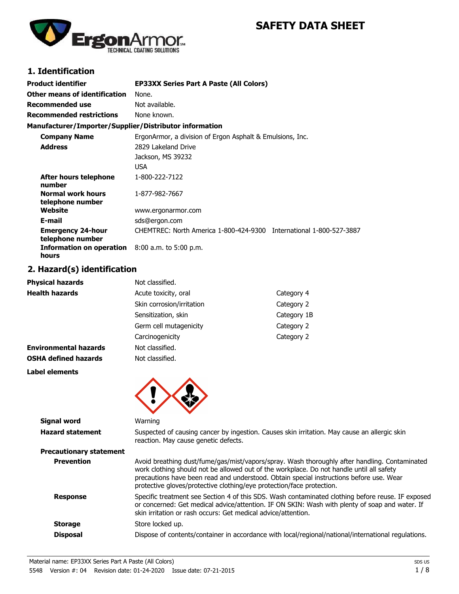# **SAFETY DATA SHEET**



# **1. Identification**

| Product identifier                                              | <b>EP33XX Series Part A Paste (All Colors)</b>                      |
|-----------------------------------------------------------------|---------------------------------------------------------------------|
| Other means of identification                                   | None.                                                               |
| Recommended use                                                 | Not available.                                                      |
| Recommended restrictions                                        | None known.                                                         |
| Manufacturer/Importer/Supplier/Distributor information          |                                                                     |
| <b>Company Name</b>                                             | ErgonArmor, a division of Ergon Asphalt & Emulsions, Inc.           |
| <b>Address</b>                                                  | 2829 Lakeland Drive                                                 |
|                                                                 | Jackson, MS 39232                                                   |
|                                                                 | <b>USA</b>                                                          |
| After hours telephone<br>number                                 | 1-800-222-7122                                                      |
| <b>Normal work hours</b><br>telephone number                    | 1-877-982-7667                                                      |
| Website                                                         | www.ergonarmor.com                                                  |
| E-mail                                                          | sds@ergon.com                                                       |
| <b>Emergency 24-hour</b><br>telephone number                    | CHEMTREC: North America 1-800-424-9300 International 1-800-527-3887 |
| <b>Information on operation</b> 8:00 a.m. to 5:00 p.m.<br>hours |                                                                     |

## **2. Hazard(s) identification**

| <b>Physical hazards</b>      | Not classified.           |             |
|------------------------------|---------------------------|-------------|
| <b>Health hazards</b>        | Acute toxicity, oral      | Category 4  |
|                              | Skin corrosion/irritation | Category 2  |
|                              | Sensitization, skin       | Category 1B |
|                              | Germ cell mutagenicity    | Category 2  |
|                              | Carcinogenicity           | Category 2  |
| <b>Environmental hazards</b> | Not classified.           |             |
| <b>OSHA defined hazards</b>  | Not classified.           |             |
| <b>Label elements</b>        |                           |             |
|                              |                           |             |
|                              |                           |             |
|                              |                           |             |

| Signal word                    | Warning                                                                                                                                                                                                                                                                                                                                                       |
|--------------------------------|---------------------------------------------------------------------------------------------------------------------------------------------------------------------------------------------------------------------------------------------------------------------------------------------------------------------------------------------------------------|
| <b>Hazard statement</b>        | Suspected of causing cancer by ingestion. Causes skin irritation. May cause an allergic skin<br>reaction. May cause genetic defects.                                                                                                                                                                                                                          |
| <b>Precautionary statement</b> |                                                                                                                                                                                                                                                                                                                                                               |
| <b>Prevention</b>              | Avoid breathing dust/fume/gas/mist/vapors/spray. Wash thoroughly after handling. Contaminated<br>work clothing should not be allowed out of the workplace. Do not handle until all safety<br>precautions have been read and understood. Obtain special instructions before use. Wear<br>protective gloves/protective clothing/eye protection/face protection. |
| <b>Response</b>                | Specific treatment see Section 4 of this SDS. Wash contaminated clothing before reuse. IF exposed<br>or concerned: Get medical advice/attention. IF ON SKIN: Wash with plenty of soap and water. If<br>skin irritation or rash occurs: Get medical advice/attention.                                                                                          |
| <b>Storage</b>                 | Store locked up.                                                                                                                                                                                                                                                                                                                                              |
| <b>Disposal</b>                | Dispose of contents/container in accordance with local/regional/national/international regulations.                                                                                                                                                                                                                                                           |
|                                |                                                                                                                                                                                                                                                                                                                                                               |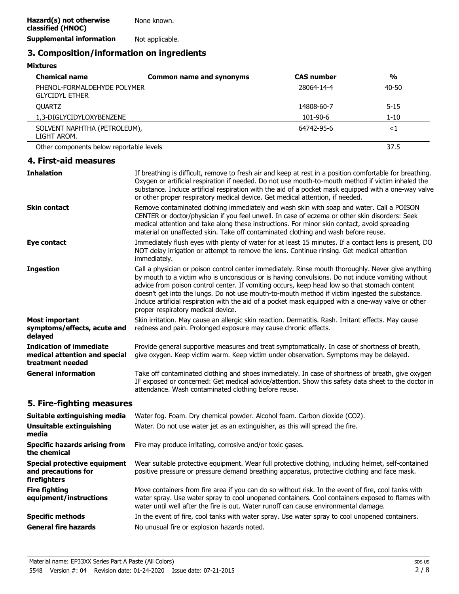### **3. Composition/information on ingredients**

#### **Mixtures**

| <b>Chemical name</b>                                                                | <b>Common name and synonyms</b>                                                                                                                                                                                                                                                                                                                                                                                                                                                                                                                      | <b>CAS number</b> | $\frac{0}{0}$ |
|-------------------------------------------------------------------------------------|------------------------------------------------------------------------------------------------------------------------------------------------------------------------------------------------------------------------------------------------------------------------------------------------------------------------------------------------------------------------------------------------------------------------------------------------------------------------------------------------------------------------------------------------------|-------------------|---------------|
| PHENOL-FORMALDEHYDE POLYMER<br><b>GLYCIDYL ETHER</b>                                |                                                                                                                                                                                                                                                                                                                                                                                                                                                                                                                                                      | 28064-14-4        | $40 - 50$     |
| <b>QUARTZ</b>                                                                       |                                                                                                                                                                                                                                                                                                                                                                                                                                                                                                                                                      | 14808-60-7        | $5 - 15$      |
| 1,3-DIGLYCIDYLOXYBENZENE                                                            |                                                                                                                                                                                                                                                                                                                                                                                                                                                                                                                                                      | 101-90-6          | $1 - 10$      |
| SOLVENT NAPHTHA (PETROLEUM),<br>LIGHT AROM.                                         |                                                                                                                                                                                                                                                                                                                                                                                                                                                                                                                                                      | 64742-95-6        | <1            |
| Other components below reportable levels                                            |                                                                                                                                                                                                                                                                                                                                                                                                                                                                                                                                                      |                   | 37.5          |
| 4. First-aid measures                                                               |                                                                                                                                                                                                                                                                                                                                                                                                                                                                                                                                                      |                   |               |
| <b>Inhalation</b>                                                                   | If breathing is difficult, remove to fresh air and keep at rest in a position comfortable for breathing.<br>Oxygen or artificial respiration if needed. Do not use mouth-to-mouth method if victim inhaled the<br>substance. Induce artificial respiration with the aid of a pocket mask equipped with a one-way valve<br>or other proper respiratory medical device. Get medical attention, if needed.                                                                                                                                              |                   |               |
| <b>Skin contact</b>                                                                 | Remove contaminated clothing immediately and wash skin with soap and water. Call a POISON<br>CENTER or doctor/physician if you feel unwell. In case of eczema or other skin disorders: Seek<br>medical attention and take along these instructions. For minor skin contact, avoid spreading<br>material on unaffected skin. Take off contaminated clothing and wash before reuse.                                                                                                                                                                    |                   |               |
| Eye contact                                                                         | Immediately flush eyes with plenty of water for at least 15 minutes. If a contact lens is present, DO<br>NOT delay irrigation or attempt to remove the lens. Continue rinsing. Get medical attention<br>immediately.                                                                                                                                                                                                                                                                                                                                 |                   |               |
| <b>Ingestion</b>                                                                    | Call a physician or poison control center immediately. Rinse mouth thoroughly. Never give anything<br>by mouth to a victim who is unconscious or is having convulsions. Do not induce vomiting without<br>advice from poison control center. If vomiting occurs, keep head low so that stomach content<br>doesn't get into the lungs. Do not use mouth-to-mouth method if victim ingested the substance.<br>Induce artificial respiration with the aid of a pocket mask equipped with a one-way valve or other<br>proper respiratory medical device. |                   |               |
| <b>Most important</b><br>symptoms/effects, acute and<br>delayed                     | Skin irritation. May cause an allergic skin reaction. Dermatitis. Rash. Irritant effects. May cause<br>redness and pain. Prolonged exposure may cause chronic effects.                                                                                                                                                                                                                                                                                                                                                                               |                   |               |
| <b>Indication of immediate</b><br>medical attention and special<br>treatment needed | Provide general supportive measures and treat symptomatically. In case of shortness of breath,<br>give oxygen. Keep victim warm. Keep victim under observation. Symptoms may be delayed.                                                                                                                                                                                                                                                                                                                                                             |                   |               |
| <b>General information</b>                                                          | Take off contaminated clothing and shoes immediately. In case of shortness of breath, give oxygen<br>IF exposed or concerned: Get medical advice/attention. Show this safety data sheet to the doctor in<br>attendance. Wash contaminated clothing before reuse.                                                                                                                                                                                                                                                                                     |                   |               |
|                                                                                     |                                                                                                                                                                                                                                                                                                                                                                                                                                                                                                                                                      |                   |               |

#### **5. Fire-fighting measures**

| Water fog. Foam. Dry chemical powder. Alcohol foam. Carbon dioxide (CO2).                                                                                                                                                                                                                       |
|-------------------------------------------------------------------------------------------------------------------------------------------------------------------------------------------------------------------------------------------------------------------------------------------------|
| Water. Do not use water jet as an extinguisher, as this will spread the fire.                                                                                                                                                                                                                   |
| Fire may produce irritating, corrosive and/or toxic gases.                                                                                                                                                                                                                                      |
| Wear suitable protective equipment. Wear full protective clothing, including helmet, self-contained<br>positive pressure or pressure demand breathing apparatus, protective clothing and face mask.                                                                                             |
| Move containers from fire area if you can do so without risk. In the event of fire, cool tanks with<br>water spray. Use water spray to cool unopened containers. Cool containers exposed to flames with<br>water until well after the fire is out. Water runoff can cause environmental damage. |
| In the event of fire, cool tanks with water spray. Use water spray to cool unopened containers.                                                                                                                                                                                                 |
| No unusual fire or explosion hazards noted.                                                                                                                                                                                                                                                     |
|                                                                                                                                                                                                                                                                                                 |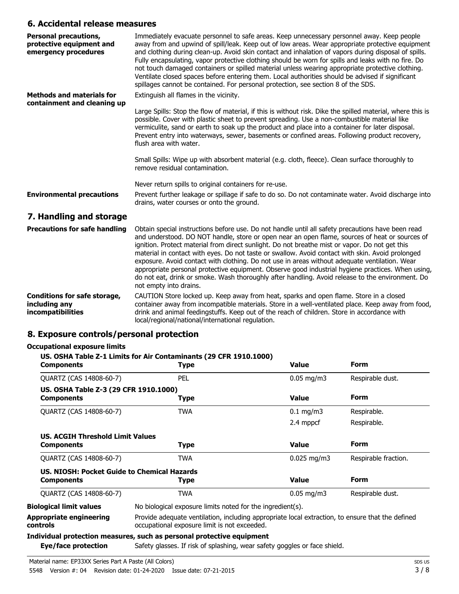### **6. Accidental release measures**

| <b>Personal precautions,</b><br>protective equipment and<br>emergency procedures | Immediately evacuate personnel to safe areas. Keep unnecessary personnel away. Keep people<br>away from and upwind of spill/leak. Keep out of low areas. Wear appropriate protective equipment<br>and clothing during clean-up. Avoid skin contact and inhalation of vapors during disposal of spills.<br>Fully encapsulating, vapor protective clothing should be worn for spills and leaks with no fire. Do<br>not touch damaged containers or spilled material unless wearing appropriate protective clothing.<br>Ventilate closed spaces before entering them. Local authorities should be advised if significant<br>spillages cannot be contained. For personal protection, see section 8 of the SDS. |
|----------------------------------------------------------------------------------|------------------------------------------------------------------------------------------------------------------------------------------------------------------------------------------------------------------------------------------------------------------------------------------------------------------------------------------------------------------------------------------------------------------------------------------------------------------------------------------------------------------------------------------------------------------------------------------------------------------------------------------------------------------------------------------------------------|
| <b>Methods and materials for</b><br>containment and cleaning up                  | Extinguish all flames in the vicinity.                                                                                                                                                                                                                                                                                                                                                                                                                                                                                                                                                                                                                                                                     |
|                                                                                  | Large Spills: Stop the flow of material, if this is without risk. Dike the spilled material, where this is<br>possible. Cover with plastic sheet to prevent spreading. Use a non-combustible material like<br>vermiculite, sand or earth to soak up the product and place into a container for later disposal.<br>Prevent entry into waterways, sewer, basements or confined areas. Following product recovery,<br>flush area with water.                                                                                                                                                                                                                                                                  |
|                                                                                  | Small Spills: Wipe up with absorbent material (e.g. cloth, fleece). Clean surface thoroughly to<br>remove residual contamination.                                                                                                                                                                                                                                                                                                                                                                                                                                                                                                                                                                          |
|                                                                                  | Never return spills to original containers for re-use.                                                                                                                                                                                                                                                                                                                                                                                                                                                                                                                                                                                                                                                     |
| <b>Environmental precautions</b>                                                 | Prevent further leakage or spillage if safe to do so. Do not contaminate water. Avoid discharge into<br>drains, water courses or onto the ground.                                                                                                                                                                                                                                                                                                                                                                                                                                                                                                                                                          |
| 7. Handling and storage                                                          |                                                                                                                                                                                                                                                                                                                                                                                                                                                                                                                                                                                                                                                                                                            |
|                                                                                  | <b>Drecautions for safe handling</b> Obtain special instructions before use Do not bandle until all safety precautions have been read                                                                                                                                                                                                                                                                                                                                                                                                                                                                                                                                                                      |

| <b>Precautions for safe handling</b> | Obtain special instructions before use. Do not handle until all safety precautions have been read<br>and understood. DO NOT handle, store or open near an open flame, sources of heat or sources of<br>ignition. Protect material from direct sunlight. Do not breathe mist or vapor. Do not get this<br>material in contact with eyes. Do not taste or swallow. Avoid contact with skin. Avoid prolonged<br>exposure. Avoid contact with clothing. Do not use in areas without adequate ventilation. Wear<br>appropriate personal protective equipment. Observe good industrial hygiene practices. When using,<br>do not eat, drink or smoke. Wash thoroughly after handling. Avoid release to the environment. Do<br>not empty into drains. |
|--------------------------------------|-----------------------------------------------------------------------------------------------------------------------------------------------------------------------------------------------------------------------------------------------------------------------------------------------------------------------------------------------------------------------------------------------------------------------------------------------------------------------------------------------------------------------------------------------------------------------------------------------------------------------------------------------------------------------------------------------------------------------------------------------|
| <b>Conditions for safe storage,</b>  | CAUTION Store locked up. Keep away from heat, sparks and open flame. Store in a closed                                                                                                                                                                                                                                                                                                                                                                                                                                                                                                                                                                                                                                                        |
| including any                        | container away from incompatible materials. Store in a well-ventilated place. Keep away from food,                                                                                                                                                                                                                                                                                                                                                                                                                                                                                                                                                                                                                                            |

drink and animal feedingstuffs. Keep out of the reach of children. Store in accordance with local/regional/national/international regulation. **incompatibilities**

### **8. Exposure controls/personal protection**

### **Occupational exposure limits**

### **US. OSHA Table Z-1 Limits for Air Contaminants (29 CFR 1910.1000)**

| <b>Components</b>                                                | <b>Type</b>                                                                                                                                        | <b>Value</b>            | <b>Form</b>          |
|------------------------------------------------------------------|----------------------------------------------------------------------------------------------------------------------------------------------------|-------------------------|----------------------|
| QUARTZ (CAS 14808-60-7)                                          | <b>PEL</b>                                                                                                                                         | $0.05$ mg/m3            | Respirable dust.     |
| US. OSHA Table Z-3 (29 CFR 1910.1000)<br><b>Components</b>       | Type                                                                                                                                               | <b>Value</b>            | <b>Form</b>          |
| QUARTZ (CAS 14808-60-7)                                          | <b>TWA</b>                                                                                                                                         | $0.1 \text{ mg/m}$      | Respirable.          |
|                                                                  |                                                                                                                                                    | 2.4 mppcf               | Respirable.          |
| <b>US. ACGIH Threshold Limit Values</b><br><b>Components</b>     | <b>Type</b>                                                                                                                                        | <b>Value</b>            | <b>Form</b>          |
| <b>OUARTZ (CAS 14808-60-7)</b>                                   | <b>TWA</b>                                                                                                                                         | $0.025 \,\mathrm{mg/m}$ | Respirable fraction. |
| US. NIOSH: Pocket Guide to Chemical Hazards<br><b>Components</b> | Type                                                                                                                                               | <b>Value</b>            | <b>Form</b>          |
| QUARTZ (CAS 14808-60-7)                                          | <b>TWA</b>                                                                                                                                         | $0.05 \,\mathrm{mq/m}$  | Respirable dust.     |
| <b>Biological limit values</b>                                   | No biological exposure limits noted for the ingredient(s).                                                                                         |                         |                      |
| <b>Appropriate engineering</b><br>controls                       | Provide adequate ventilation, including appropriate local extraction, to ensure that the defined<br>occupational exposure limit is not exceeded.   |                         |                      |
| Eye/face protection                                              | Individual protection measures, such as personal protective equipment<br>Safety glasses. If risk of splashing, wear safety goggles or face shield. |                         |                      |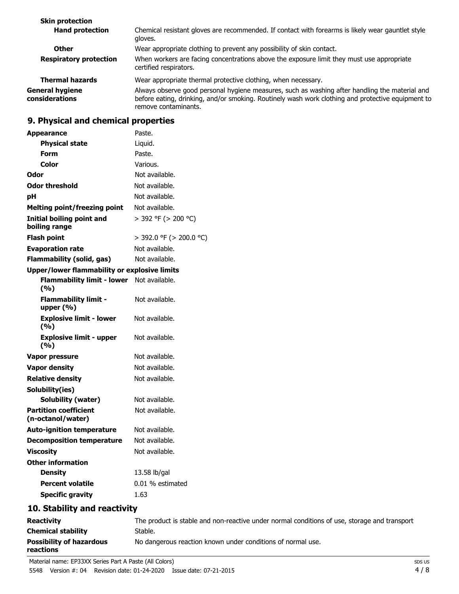| <b>Skin protection</b>                   |                                                                                                                                                                                                                             |
|------------------------------------------|-----------------------------------------------------------------------------------------------------------------------------------------------------------------------------------------------------------------------------|
| <b>Hand protection</b>                   | Chemical resistant gloves are recommended. If contact with forearms is likely wear gauntlet style<br>gloves.                                                                                                                |
| <b>Other</b>                             | Wear appropriate clothing to prevent any possibility of skin contact.                                                                                                                                                       |
| <b>Respiratory protection</b>            | When workers are facing concentrations above the exposure limit they must use appropriate<br>certified respirators.                                                                                                         |
| <b>Thermal hazards</b>                   | Wear appropriate thermal protective clothing, when necessary.                                                                                                                                                               |
| <b>General hygiene</b><br>considerations | Always observe good personal hygiene measures, such as washing after handling the material and<br>before eating, drinking, and/or smoking. Routinely wash work clothing and protective equipment to<br>remove contaminants. |

# **9. Physical and chemical properties**

| Paste.<br><b>Appearance</b>                         |                          |
|-----------------------------------------------------|--------------------------|
| <b>Physical state</b><br>Liquid.                    |                          |
| <b>Form</b><br>Paste.                               |                          |
| Color<br>Various.                                   |                          |
| Odor                                                | Not available.           |
| <b>Odor threshold</b>                               | Not available.           |
| рH                                                  | Not available.           |
| <b>Melting point/freezing point</b>                 | Not available.           |
| Initial boiling point and<br>boiling range          | $>$ 392 °F ( $>$ 200 °C) |
| <b>Flash point</b>                                  | > 392.0 °F (> 200.0 °C)  |
| <b>Evaporation rate</b>                             | Not available.           |
| <b>Flammability (solid, gas)</b>                    | Not available.           |
| <b>Upper/lower flammability or explosive limits</b> |                          |
| Flammability limit - lower Not available.<br>(%)    |                          |
| <b>Flammability limit -</b><br>upper $(% )$         | Not available.           |
| <b>Explosive limit - lower</b><br>(%)               | Not available.           |
| <b>Explosive limit - upper</b><br>(%)               | Not available.           |
| <b>Vapor pressure</b>                               | Not available.           |
| <b>Vapor density</b>                                | Not available.           |
| <b>Relative density</b>                             | Not available.           |
| Solubility(ies)                                     |                          |
| <b>Solubility (water)</b>                           | Not available.           |
| <b>Partition coefficient</b><br>(n-octanol/water)   | Not available.           |
| <b>Auto-ignition temperature</b>                    | Not available.           |
| <b>Decomposition temperature</b>                    | Not available.           |
| <b>Viscosity</b>                                    | Not available.           |
| <b>Other information</b>                            |                          |
| <b>Density</b>                                      | 13.58 lb/gal             |
| <b>Percent volatile</b>                             | 0.01 % estimated         |
| <b>Specific gravity</b><br>1.63                     |                          |
| 10. Stability and reactivity                        |                          |

| <b>Reactivity</b>                            | The product is stable and non-reactive under normal conditions of use, storage and transport |
|----------------------------------------------|----------------------------------------------------------------------------------------------|
| <b>Chemical stability</b>                    | Stable.                                                                                      |
| <b>Possibility of hazardous</b><br>reactions | No dangerous reaction known under conditions of normal use.                                  |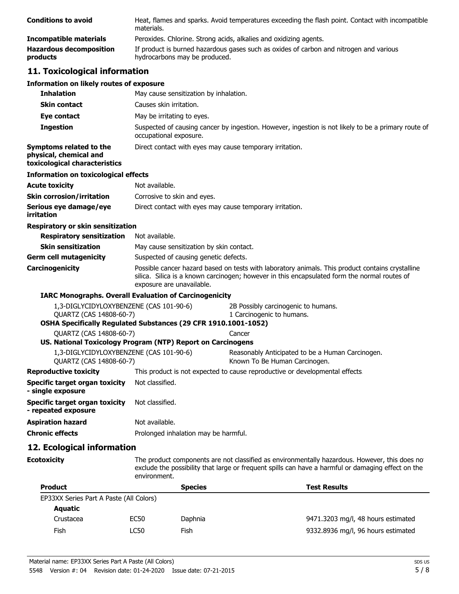| <b>Conditions to avoid</b>                 | Heat, flames and sparks. Avoid temperatures exceeding the flash point. Contact with incompatible<br>materials.          |
|--------------------------------------------|-------------------------------------------------------------------------------------------------------------------------|
| Incompatible materials                     | Peroxides. Chlorine. Strong acids, alkalies and oxidizing agents.                                                       |
| <b>Hazardous decomposition</b><br>products | If product is burned hazardous gases such as oxides of carbon and nitrogen and various<br>hydrocarbons may be produced. |

## **11. Toxicological information**

# **Information on likely routes of exposure**

| Information on likely routes of exposure                                           |                                                                                                                                                                                                                               |                                                                                   |  |
|------------------------------------------------------------------------------------|-------------------------------------------------------------------------------------------------------------------------------------------------------------------------------------------------------------------------------|-----------------------------------------------------------------------------------|--|
| <b>Inhalation</b>                                                                  | May cause sensitization by inhalation.                                                                                                                                                                                        |                                                                                   |  |
| <b>Skin contact</b>                                                                | Causes skin irritation.                                                                                                                                                                                                       |                                                                                   |  |
| Eye contact                                                                        | May be irritating to eyes.                                                                                                                                                                                                    |                                                                                   |  |
| <b>Ingestion</b>                                                                   | Suspected of causing cancer by ingestion. However, ingestion is not likely to be a primary route of<br>occupational exposure.                                                                                                 |                                                                                   |  |
| Symptoms related to the<br>physical, chemical and<br>toxicological characteristics | Direct contact with eyes may cause temporary irritation.                                                                                                                                                                      |                                                                                   |  |
| <b>Information on toxicological effects</b>                                        |                                                                                                                                                                                                                               |                                                                                   |  |
| <b>Acute toxicity</b>                                                              | Not available.                                                                                                                                                                                                                |                                                                                   |  |
| <b>Skin corrosion/irritation</b>                                                   | Corrosive to skin and eyes.                                                                                                                                                                                                   |                                                                                   |  |
| Serious eye damage/eye<br>irritation                                               | Direct contact with eyes may cause temporary irritation.                                                                                                                                                                      |                                                                                   |  |
| <b>Respiratory or skin sensitization</b>                                           |                                                                                                                                                                                                                               |                                                                                   |  |
| <b>Respiratory sensitization</b>                                                   | Not available.                                                                                                                                                                                                                |                                                                                   |  |
| <b>Skin sensitization</b>                                                          | May cause sensitization by skin contact.                                                                                                                                                                                      |                                                                                   |  |
| <b>Germ cell mutagenicity</b>                                                      | Suspected of causing genetic defects.                                                                                                                                                                                         |                                                                                   |  |
| <b>Carcinogenicity</b>                                                             | Possible cancer hazard based on tests with laboratory animals. This product contains crystalline<br>silica. Silica is a known carcinogen; however in this encapsulated form the normal routes of<br>exposure are unavailable. |                                                                                   |  |
|                                                                                    | <b>IARC Monographs. Overall Evaluation of Carcinogenicity</b>                                                                                                                                                                 |                                                                                   |  |
| 1,3-DIGLYCIDYLOXYBENZENE (CAS 101-90-6)<br>QUARTZ (CAS 14808-60-7)                 | OSHA Specifically Regulated Substances (29 CFR 1910.1001-1052)                                                                                                                                                                | 2B Possibly carcinogenic to humans.<br>1 Carcinogenic to humans.                  |  |
| QUARTZ (CAS 14808-60-7)                                                            |                                                                                                                                                                                                                               | Cancer                                                                            |  |
|                                                                                    | US. National Toxicology Program (NTP) Report on Carcinogens                                                                                                                                                                   |                                                                                   |  |
| 1,3-DIGLYCIDYLOXYBENZENE (CAS 101-90-6)<br>QUARTZ (CAS 14808-60-7)                 |                                                                                                                                                                                                                               | Reasonably Anticipated to be a Human Carcinogen.<br>Known To Be Human Carcinogen. |  |
| <b>Reproductive toxicity</b>                                                       |                                                                                                                                                                                                                               | This product is not expected to cause reproductive or developmental effects       |  |
| Specific target organ toxicity<br>- single exposure                                | Not classified.                                                                                                                                                                                                               |                                                                                   |  |
| Specific target organ toxicity<br>- repeated exposure                              | Not classified.                                                                                                                                                                                                               |                                                                                   |  |
| <b>Aspiration hazard</b>                                                           | Not available.                                                                                                                                                                                                                |                                                                                   |  |
| <b>Chronic effects</b>                                                             | Prolonged inhalation may be harmful.                                                                                                                                                                                          |                                                                                   |  |

## **12. Ecological information**

**Ecotoxicity**

The product components are not classified as environmentally hazardous. However, this does not exclude the possibility that large or frequent spills can have a harmful or damaging effect on the environment.

| <b>Product</b>                          |      | <b>Species</b> | <b>Test Results</b>                |
|-----------------------------------------|------|----------------|------------------------------------|
| EP33XX Series Part A Paste (All Colors) |      |                |                                    |
| Aquatic                                 |      |                |                                    |
| Crustacea                               | EC50 | Daphnia        | 9471.3203 mg/l, 48 hours estimated |
| Fish                                    | LC50 | Fish           | 9332.8936 mg/l, 96 hours estimated |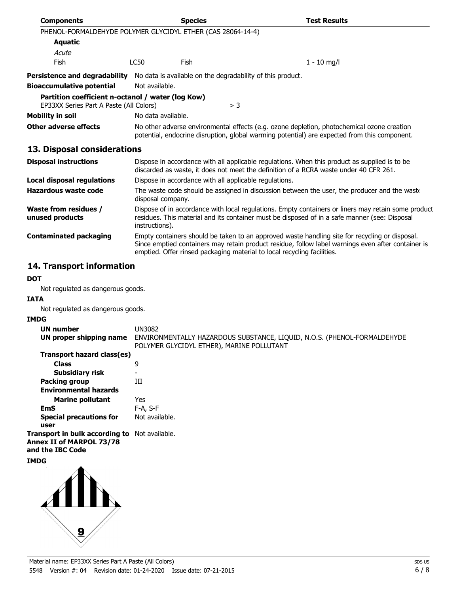| <b>Components</b>                                                                            |                    | <b>Species</b> |                                                            | <b>Test Results</b>                                                                        |
|----------------------------------------------------------------------------------------------|--------------------|----------------|------------------------------------------------------------|--------------------------------------------------------------------------------------------|
| PHENOL-FORMALDEHYDE POLYMER GLYCIDYL ETHER (CAS 28064-14-4)                                  |                    |                |                                                            |                                                                                            |
| <b>Aquatic</b>                                                                               |                    |                |                                                            |                                                                                            |
| Acute                                                                                        |                    |                |                                                            |                                                                                            |
| <b>Fish</b>                                                                                  | LC50               | Fish           |                                                            | $1 - 10$ mg/l                                                                              |
| <b>Persistence and degradability</b>                                                         |                    |                | No data is available on the degradability of this product. |                                                                                            |
| <b>Bioaccumulative potential</b>                                                             | Not available.     |                |                                                            |                                                                                            |
| Partition coefficient n-octanol / water (log Kow)<br>EP33XX Series Part A Paste (All Colors) |                    |                | $>$ 3                                                      |                                                                                            |
| Mobility in soil                                                                             | No data available. |                |                                                            |                                                                                            |
| Other adverse effects                                                                        |                    |                |                                                            | No other adverse environmental effects (e.g. ozone depletion, photochemical ozone creation |

potential, endocrine disruption, global warming potential) are expected from this component.

### **13. Disposal considerations**

| <b>Disposal instructions</b>                    | Dispose in accordance with all applicable regulations. When this product as supplied is to be<br>discarded as waste, it does not meet the definition of a RCRA waste under 40 CFR 261.                                                                                          |
|-------------------------------------------------|---------------------------------------------------------------------------------------------------------------------------------------------------------------------------------------------------------------------------------------------------------------------------------|
| Local disposal regulations                      | Dispose in accordance with all applicable regulations.                                                                                                                                                                                                                          |
| Hazardous waste code                            | The waste code should be assigned in discussion between the user, the producer and the waste<br>disposal company.                                                                                                                                                               |
| <b>Waste from residues /</b><br>unused products | Dispose of in accordance with local regulations. Empty containers or liners may retain some product<br>residues. This material and its container must be disposed of in a safe manner (see: Disposal<br>instructions).                                                          |
| <b>Contaminated packaging</b>                   | Empty containers should be taken to an approved waste handling site for recycling or disposal.<br>Since emptied containers may retain product residue, follow label warnings even after container is<br>emptied. Offer rinsed packaging material to local recycling facilities. |

# **14. Transport information**

### **DOT**

Not regulated as dangerous goods.

#### **IATA**

Not regulated as dangerous goods.

### **IMDG**

| <b>UN number</b>                                                                                     | UN3082                                                                                                                |
|------------------------------------------------------------------------------------------------------|-----------------------------------------------------------------------------------------------------------------------|
| UN proper shipping name                                                                              | ENVIRONMENTALLY HAZARDOUS SUBSTANCE, LIQUID, N.O.S. (PHENOL-FORMALDEHYDE<br>POLYMER GLYCIDYL ETHER), MARINE POLLUTANT |
| Transport hazard class(es)                                                                           |                                                                                                                       |
| <b>Class</b>                                                                                         | 9                                                                                                                     |
| <b>Subsidiary risk</b>                                                                               | -                                                                                                                     |
| <b>Packing group</b>                                                                                 | Ш                                                                                                                     |
| <b>Environmental hazards</b>                                                                         |                                                                                                                       |
| <b>Marine pollutant</b>                                                                              | Yes                                                                                                                   |
| EmS                                                                                                  | F-A, S-F                                                                                                              |
| <b>Special precautions for</b><br>user                                                               | Not available.                                                                                                        |
| Transport in bulk according to Not available.<br><b>Annex II of MARPOL 73/78</b><br>and the IBC Code |                                                                                                                       |
| <b>IMDG</b>                                                                                          |                                                                                                                       |

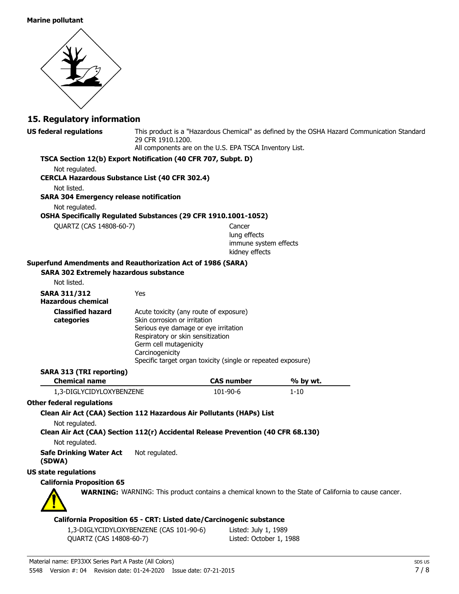#### **Marine pollutant**



## **15. Regulatory information**

| <b>US federal regulations</b>                                                                                       | 29 CFR 1910.1200.                                                    | All components are on the U.S. EPA TSCA Inventory List.             | This product is a "Hazardous Chemical" as defined by the OSHA Hazard Communication Standard                 |  |
|---------------------------------------------------------------------------------------------------------------------|----------------------------------------------------------------------|---------------------------------------------------------------------|-------------------------------------------------------------------------------------------------------------|--|
| TSCA Section 12(b) Export Notification (40 CFR 707, Subpt. D)                                                       |                                                                      |                                                                     |                                                                                                             |  |
| Not regulated.                                                                                                      |                                                                      |                                                                     |                                                                                                             |  |
| <b>CERCLA Hazardous Substance List (40 CFR 302.4)</b>                                                               |                                                                      |                                                                     |                                                                                                             |  |
| Not listed.                                                                                                         |                                                                      |                                                                     |                                                                                                             |  |
| <b>SARA 304 Emergency release notification</b>                                                                      |                                                                      |                                                                     |                                                                                                             |  |
| Not regulated.                                                                                                      |                                                                      |                                                                     |                                                                                                             |  |
| OSHA Specifically Regulated Substances (29 CFR 1910.1001-1052)                                                      |                                                                      |                                                                     |                                                                                                             |  |
| QUARTZ (CAS 14808-60-7)                                                                                             |                                                                      | Cancer                                                              |                                                                                                             |  |
|                                                                                                                     |                                                                      | lung effects                                                        |                                                                                                             |  |
|                                                                                                                     |                                                                      | immune system effects<br>kidney effects                             |                                                                                                             |  |
|                                                                                                                     |                                                                      |                                                                     |                                                                                                             |  |
| <b>Superfund Amendments and Reauthorization Act of 1986 (SARA)</b><br><b>SARA 302 Extremely hazardous substance</b> |                                                                      |                                                                     |                                                                                                             |  |
| Not listed.                                                                                                         |                                                                      |                                                                     |                                                                                                             |  |
|                                                                                                                     |                                                                      |                                                                     |                                                                                                             |  |
| <b>SARA 311/312</b><br><b>Hazardous chemical</b>                                                                    | Yes                                                                  |                                                                     |                                                                                                             |  |
| <b>Classified hazard</b>                                                                                            | Acute toxicity (any route of exposure)                               |                                                                     |                                                                                                             |  |
| categories                                                                                                          | Skin corrosion or irritation<br>Serious eye damage or eye irritation |                                                                     |                                                                                                             |  |
|                                                                                                                     | Respiratory or skin sensitization                                    |                                                                     |                                                                                                             |  |
|                                                                                                                     | Germ cell mutagenicity                                               |                                                                     |                                                                                                             |  |
|                                                                                                                     | Carcinogenicity                                                      |                                                                     |                                                                                                             |  |
|                                                                                                                     |                                                                      | Specific target organ toxicity (single or repeated exposure)        |                                                                                                             |  |
| <b>SARA 313 (TRI reporting)</b>                                                                                     |                                                                      |                                                                     |                                                                                                             |  |
| <b>Chemical name</b>                                                                                                |                                                                      | <b>CAS number</b>                                                   | % by wt.                                                                                                    |  |
| 1,3-DIGLYCIDYLOXYBENZENE                                                                                            |                                                                      | 101-90-6                                                            | $1 - 10$                                                                                                    |  |
| <b>Other federal regulations</b>                                                                                    |                                                                      |                                                                     |                                                                                                             |  |
| Clean Air Act (CAA) Section 112 Hazardous Air Pollutants (HAPs) List                                                |                                                                      |                                                                     |                                                                                                             |  |
| Not regulated.                                                                                                      |                                                                      |                                                                     |                                                                                                             |  |
| Clean Air Act (CAA) Section 112(r) Accidental Release Prevention (40 CFR 68.130)                                    |                                                                      |                                                                     |                                                                                                             |  |
| Not regulated.                                                                                                      |                                                                      |                                                                     |                                                                                                             |  |
| <b>Safe Drinking Water Act</b><br>(SDWA)                                                                            | Not regulated.                                                       |                                                                     |                                                                                                             |  |
| <b>US state regulations</b>                                                                                         |                                                                      |                                                                     |                                                                                                             |  |
| <b>California Proposition 65</b>                                                                                    |                                                                      |                                                                     |                                                                                                             |  |
|                                                                                                                     |                                                                      |                                                                     | <b>WARNING:</b> WARNING: This product contains a chemical known to the State of California to cause cancer. |  |
|                                                                                                                     |                                                                      | California Proposition 65 - CRT: Listed date/Carcinogenic substance |                                                                                                             |  |
|                                                                                                                     | 1.3 DICLVCIDVLOVVDENIZENE (CAC.101.00.6)                             | $1.6664 \cdot 3.661 \cdot 1.000$                                    |                                                                                                             |  |

1,3-DIGLYCIDYLOXYBENZENE (CAS 101-90-6) Listed: July 1, 1989 QUARTZ (CAS 14808-60-7) Listed: October 1, 1988